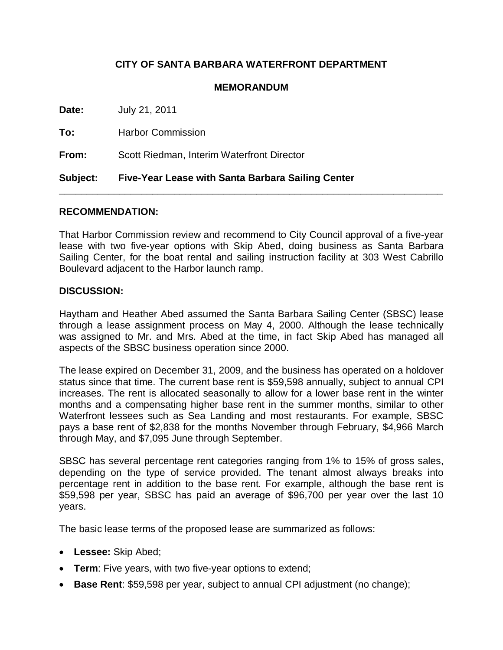# **CITY OF SANTA BARBARA WATERFRONT DEPARTMENT**

## **MEMORANDUM**

**Date:** July 21, 2011 **To:** Harbor Commission **From:** Scott Riedman, Interim Waterfront Director **Subject: Five-Year Lease with Santa Barbara Sailing Center**

### **RECOMMENDATION:**

That Harbor Commission review and recommend to City Council approval of a five-year lease with two five-year options with Skip Abed, doing business as Santa Barbara Sailing Center, for the boat rental and sailing instruction facility at 303 West Cabrillo Boulevard adjacent to the Harbor launch ramp.

\_\_\_\_\_\_\_\_\_\_\_\_\_\_\_\_\_\_\_\_\_\_\_\_\_\_\_\_\_\_\_\_\_\_\_\_\_\_\_\_\_\_\_\_\_\_\_\_\_\_\_\_\_\_\_\_\_\_\_\_\_\_\_\_\_\_\_\_\_\_

#### **DISCUSSION:**

Haytham and Heather Abed assumed the Santa Barbara Sailing Center (SBSC) lease through a lease assignment process on May 4, 2000. Although the lease technically was assigned to Mr. and Mrs. Abed at the time, in fact Skip Abed has managed all aspects of the SBSC business operation since 2000.

The lease expired on December 31, 2009, and the business has operated on a holdover status since that time. The current base rent is \$59,598 annually, subject to annual CPI increases. The rent is allocated seasonally to allow for a lower base rent in the winter months and a compensating higher base rent in the summer months, similar to other Waterfront lessees such as Sea Landing and most restaurants. For example, SBSC pays a base rent of \$2,838 for the months November through February, \$4,966 March through May, and \$7,095 June through September.

SBSC has several percentage rent categories ranging from 1% to 15% of gross sales, depending on the type of service provided. The tenant almost always breaks into percentage rent in addition to the base rent. For example, although the base rent is \$59,598 per year, SBSC has paid an average of \$96,700 per year over the last 10 years.

The basic lease terms of the proposed lease are summarized as follows:

- **Lessee:** Skip Abed;
- **Term**: Five years, with two five-year options to extend;
- **Base Rent**: \$59,598 per year, subject to annual CPI adjustment (no change);